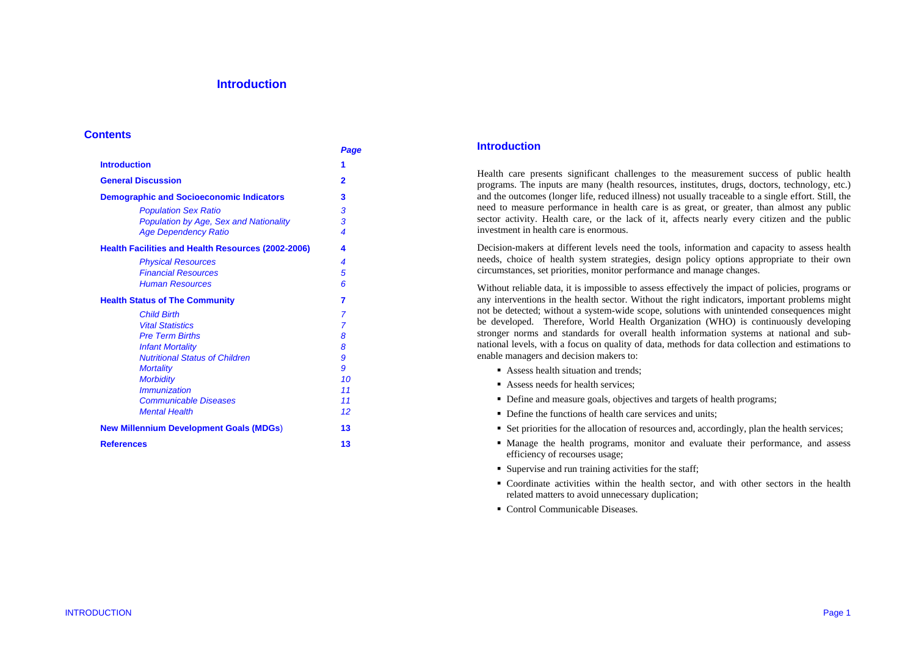# **Introduction**

#### **Contents**

|                                                           | Page           |
|-----------------------------------------------------------|----------------|
| <b>Introduction</b>                                       | 1              |
| <b>General Discussion</b>                                 | 2              |
| <b>Demographic and Socioeconomic Indicators</b>           | 3              |
| <b>Population Sex Ratio</b>                               | 3              |
| Population by Age, Sex and Nationality                    | 3              |
| <b>Age Dependency Ratio</b>                               | 4              |
| <b>Health Facilities and Health Resources (2002-2006)</b> | 4              |
| <b>Physical Resources</b>                                 | 4              |
| <b>Financial Resources</b>                                | 5              |
| <b>Human Resources</b>                                    | 6              |
| <b>Health Status of The Community</b>                     | 7              |
| <b>Child Birth</b>                                        | 7              |
| <b>Vital Statistics</b>                                   | $\overline{7}$ |
| <b>Pre Term Births</b>                                    | 8              |
| <b>Infant Mortality</b>                                   | 8              |
| <b>Nutritional Status of Children</b>                     | 9              |
| <b>Mortality</b>                                          | 9              |
| <b>Morbidity</b>                                          | 10             |
| <i>Immunization</i>                                       | 11             |
| <b>Communicable Diseases</b>                              | 11             |
| <b>Mental Health</b>                                      | 12             |
| <b>New Millennium Development Goals (MDGs)</b>            | 13             |
| <b>References</b>                                         | 13             |
|                                                           |                |

### **Introduction**

Health care presents significant challenges to the measurement success of public health programs. The inputs are many (health resources, institutes, drugs, doctors, technology, etc.) and the outcomes (longer life, reduced illness) not usually traceable to a single effort. Still, the need to measure performance in health care is as great, or greater, than almost any public sector activity. Health care, or the lack of it, affects nearly every citizen and the public investment in health care is enormous.

Decision-makers at different levels need the tools, information and capacity to assess health needs, choice of health system strategies, design policy options appropriate to their own circumstances, set priorities, monitor performance and manage changes.

Without reliable data, it is impossible to assess effectively the impact of policies, programs or any interventions in the health sector. Without the right indicators, important problems might not be detected; without a system-wide scope, solutions with unintended consequences might be developed. Therefore, World Health Organization (WHO) is continuously developing stronger norms and standards for overall health information systems at national and subnational levels, with a focus on quality of data, methods for data collection and estimations to enable managers and decision makers to:

- Assess health situation and trends;
- Assess needs for health services;
- Define and measure goals, objectives and targets of health programs;
- Define the functions of health care services and units;
- Set priorities for the allocation of resources and, accordingly, plan the health services;
- Manage the health programs, monitor and evaluate their performance, and assess efficiency of recourses usage;
- Supervise and run training activities for the staff;
- Coordinate activities within the health sector, and with other sectors in the health related matters to avoid unnecessary duplication;
- Control Communicable Diseases.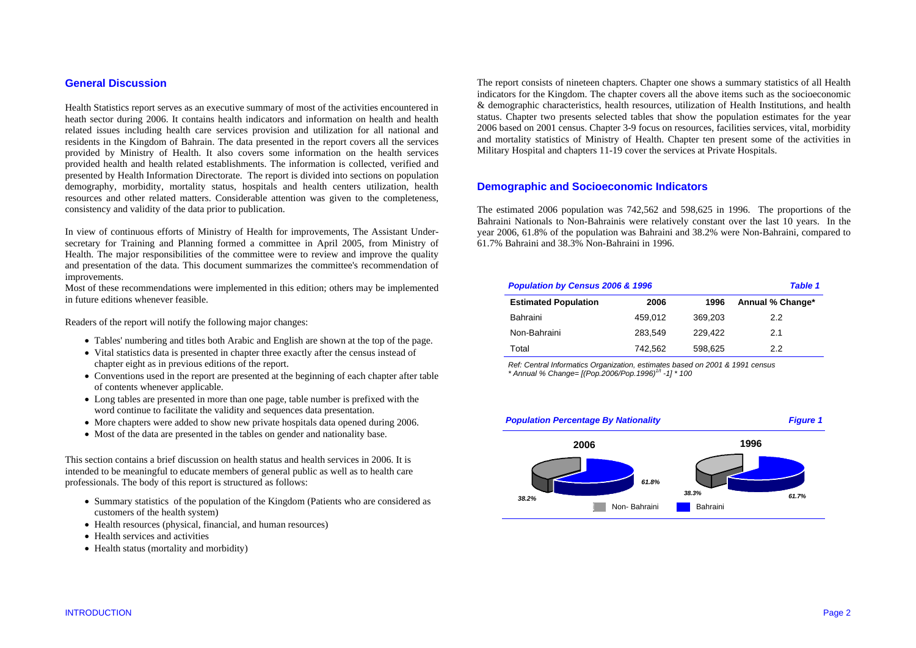# **General Discussion**

Health Statistics report serves as an executive summary of most of the activities encountered in heath sector during 2006. It contains health indicators and information on health and health related issues including health care services provision and utilization for all national and residents in the Kingdom of Bahrain. The data presented in the report covers all the services provided by Ministry of Health. It also covers some information on the health services provided health and health related establishments. The information is collected, verified and presented by Health Information Directorate. The report is divided into sections on population demography, morbidity, mortality status, hospitals and health centers utilization, health resources and other related matters. Considerable attention was given to the completeness, consistency and validity of the data prior to publication.

In view of continuous efforts of Ministry of Health for improvements, The Assistant Undersecretary for Training and Planning formed a committee in April 2005, from Ministry of Health. The major responsibilities of the committee were to review and improve the quality and presentation of the data. This document summarizes the committee's recommendation of improvements.

Most of these recommendations were implemented in this edition; others may be implemented in future editions whenever feasible.

Readers of the report will notify the following major changes:

- Tables' numbering and titles both Arabic and English are shown at the top of the page.
- Vital statistics data is presented in chapter three exactly after the census instead of chapter eight as in previous editions of the report.
- Conventions used in the report are presented at the beginning of each chapter after table of contents whenever applicable.
- Long tables are presented in more than one page, table number is prefixed with the word continue to facilitate the validity and sequences data presentation.
- More chapters were added to show new private hospitals data opened during 2006.
- Most of the data are presented in the tables on gender and nationality base.

This section contains a brief discussion on health status and health services in 2006. It is intended to be meaningful to educate members of general public as well as to health care professionals. The body of this report is structured as follows:

- Summary statistics of the population of the Kingdom (Patients who are considered as customers of the health system)
- Health resources (physical, financial, and human resources)
- Health services and activities
- Health status (mortality and morbidity)

The report consists of nineteen chapters. Chapter one shows a summary statistics of all Health indicators for the Kingdom. The chapter covers all the above items such as the socioeconomic & demographic characteristics, health resources, utilization of Health Institutions, and health status. Chapter two presents selected tables that show the population estimates for the year 2006 based on 2001 census. Chapter 3-9 focus on resources, facilities services, vital, morbidity and mortality statistics of Ministry of Health. Chapter ten present some of the activities in Military Hospital and chapters 11-19 cover the services at Private Hospitals.

# **Demographic and Socioeconomic Indicators**

The estimated 2006 population was 742,562 and 598,625 in 1996. The proportions of the Bahraini Nationals to Non-Bahrainis were relatively constant over the last 10 years. In the year 2006, 61.8% of the population was Bahraini and 38.2% were Non-Bahraini, compared to 61.7% Bahraini and 38.3% Non-Bahraini in 1996.

| <b>Population by Census 2006 &amp; 1996</b><br><b>Table 1</b> |         |         |                  |  |  |  |  |
|---------------------------------------------------------------|---------|---------|------------------|--|--|--|--|
| <b>Estimated Population</b>                                   | 2006    | 1996    | Annual % Change* |  |  |  |  |
| Bahraini                                                      | 459.012 | 369.203 | 2.2              |  |  |  |  |
| Non-Bahraini                                                  | 283.549 | 229.422 | 2.1              |  |  |  |  |
| Total                                                         | 742,562 | 598,625 | 22               |  |  |  |  |

*Ref: Central Informatics Organization, estimates based on 2001 & 1991 census \* Annual % Change= [(Pop.2006/Pop.1996)1/t -1] \* 100* 

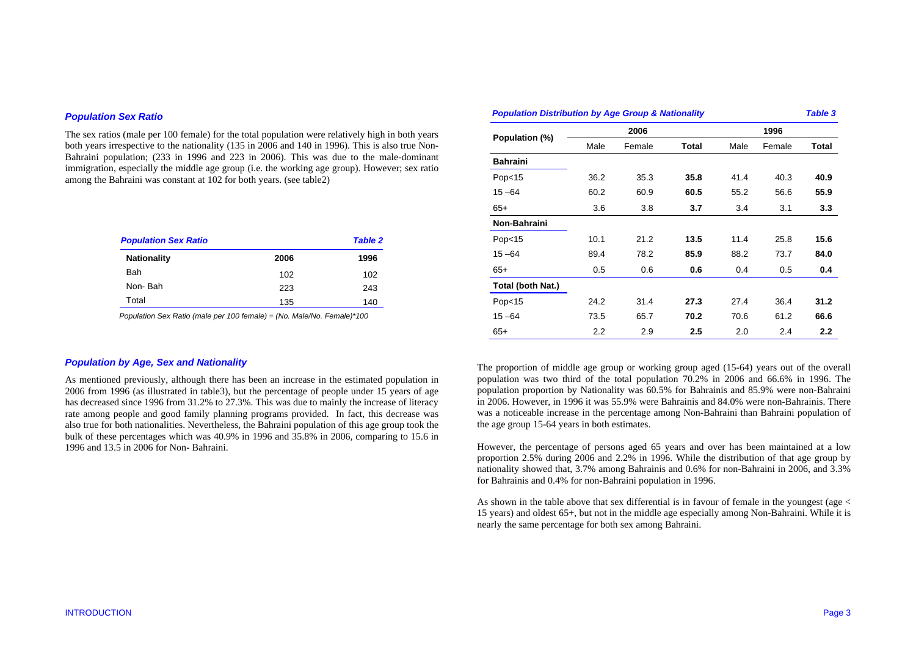#### *Population Sex Ratio*

The sex ratios (male per 100 female) for the total population were relatively high in both years both years irrespective to the nationality (135 in 2006 and 140 in 1996). This is also true Non-Bahraini population; (233 in 1996 and 223 in 2006). This was due to the male-dominant immigration, especially the middle age group (i.e. the working age group). However; sex ratio among the Bahraini was constant at 102 for both years. (see table2)

| <b>Population Sex Ratio</b> |      | <b>Table 2</b> |
|-----------------------------|------|----------------|
| <b>Nationality</b>          | 2006 | 1996           |
| Bah                         | 102  | 102            |
| Non-Bah                     | 223  | 243            |
| Total                       | 135  | 140            |

 *Population Sex Ratio (male per 100 female) = (No. Male/No. Female)\*100* 

### *Population by Age, Sex and Nationality*

As mentioned previously, although there has been an increase in the estimated population in 2006 from 1996 (as illustrated in table3), but the percentage of people under 15 years of age has decreased since 1996 from 31.2% to 27.3%. This was due to mainly the increase of literacy rate among people and good family planning programs provided. In fact, this decrease was also true for both nationalities. Nevertheless, the Bahraini population of this age group took the bulk of these percentages which was 40.9% in 1996 and 35.8% in 2006, comparing to 15.6 in 1996 and 13.5 in 2006 for Non- Bahraini.

| <b>Population Distribution by Age Group &amp; Nationality</b><br><b>Table 3</b> |      |        |       |      |        |       |  |
|---------------------------------------------------------------------------------|------|--------|-------|------|--------|-------|--|
|                                                                                 |      | 2006   |       | 1996 |        |       |  |
| Population (%)                                                                  | Male | Female | Total | Male | Female | Total |  |
| <b>Bahraini</b>                                                                 |      |        |       |      |        |       |  |
| Pop <sub>15</sub>                                                               | 36.2 | 35.3   | 35.8  | 41.4 | 40.3   | 40.9  |  |
| $15 - 64$                                                                       | 60.2 | 60.9   | 60.5  | 55.2 | 56.6   | 55.9  |  |
| $65+$                                                                           | 3.6  | 3.8    | 3.7   | 3.4  | 3.1    | 3.3   |  |
| Non-Bahraini                                                                    |      |        |       |      |        |       |  |
| Pop <sub>15</sub>                                                               | 10.1 | 21.2   | 13.5  | 11.4 | 25.8   | 15.6  |  |
| $15 - 64$                                                                       | 89.4 | 78.2   | 85.9  | 88.2 | 73.7   | 84.0  |  |
| $65+$                                                                           | 0.5  | 0.6    | 0.6   | 0.4  | 0.5    | 0.4   |  |
| Total (both Nat.)                                                               |      |        |       |      |        |       |  |
| Pop <sub>15</sub>                                                               | 24.2 | 31.4   | 27.3  | 27.4 | 36.4   | 31.2  |  |
| $15 - 64$                                                                       | 73.5 | 65.7   | 70.2  | 70.6 | 61.2   | 66.6  |  |
| $65+$                                                                           | 2.2  | 2.9    | 2.5   | 2.0  | 2.4    | 2.2   |  |

The proportion of middle age group or working group aged (15-64) years out of the overall population was two third of the total population 70.2% in 2006 and 66.6% in 1996. The population proportion by Nationality was 60.5% for Bahrainis and 85.9% were non-Bahraini in 2006. However, in 1996 it was 55.9% were Bahrainis and 84.0% were non-Bahrainis. There was a noticeable increase in the percentage among Non-Bahraini than Bahraini population of the age group 15-64 years in both estimates.

However, the percentage of persons aged 65 years and over has been maintained at a low proportion 2.5% during 2006 and 2.2% in 1996. While the distribution of that age group by nationality showed that, 3.7% among Bahrainis and 0.6% for non-Bahraini in 2006, and 3.3% for Bahrainis and 0.4% for non-Bahraini population in 1996.

As shown in the table above that sex differential is in favour of female in the youngest (age < 15 years) and oldest 65+, but not in the middle age especially among Non-Bahraini. While it is nearly the same percentage for both sex among Bahraini.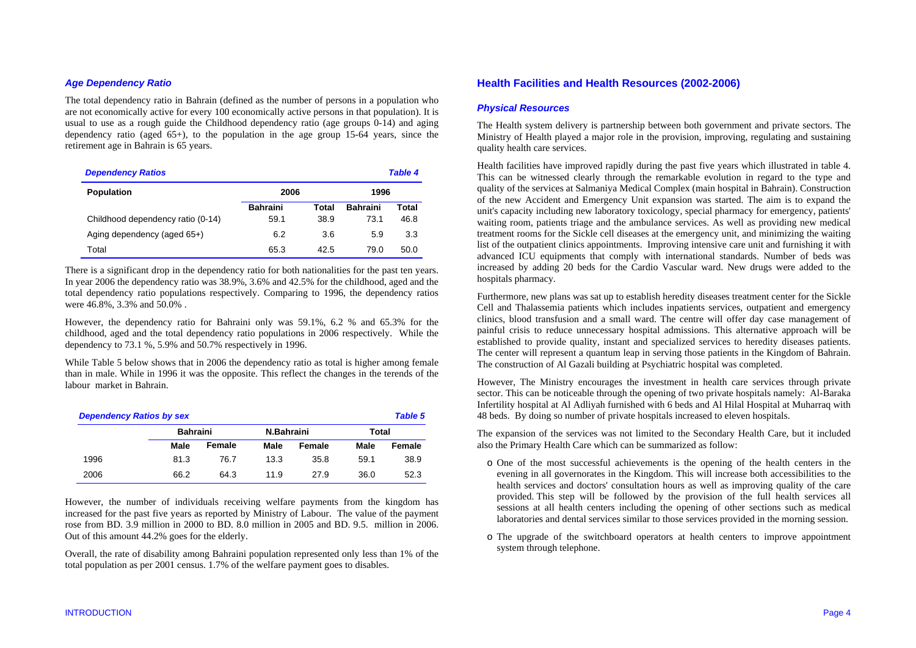## *Age Dependency Ratio*

The total dependency ratio in Bahrain (defined as the number of persons in a population who are not economically active for every 100 economically active persons in that population). It is usual to use as a rough guide the Childhood dependency ratio (age groups 0-14) and aging dependency ratio (aged  $65+$ ), to the population in the age group 15-64 years, since the retirement age in Bahrain is 65 years.

| <b>Dependency Ratios</b><br><b>Table 4</b> |                 |       |                 |       |  |  |
|--------------------------------------------|-----------------|-------|-----------------|-------|--|--|
| <b>Population</b>                          | 2006            |       | 1996            |       |  |  |
|                                            | <b>Bahraini</b> | Total | <b>Bahraini</b> | Total |  |  |
| Childhood dependency ratio (0-14)          | 59.1            | 38.9  | 73.1            | 46.8  |  |  |
| Aging dependency (aged 65+)                | 6.2             | 3.6   | 5.9             | 3.3   |  |  |
| Total                                      | 65.3            | 42.5  | 79.0            | 50.0  |  |  |

There is a significant drop in the dependency ratio for both nationalities for the past ten years. In year 2006 the dependency ratio was 38.9%, 3.6% and 42.5% for the childhood, aged and the total dependency ratio populations respectively. Comparing to 1996, the dependency ratios were 46.8%, 3.3% and 50.0% .

However, the dependency ratio for Bahraini only was 59.1%, 6.2 % and 65.3% for the childhood, aged and the total dependency ratio populations in 2006 respectively. While the dependency to 73.1 %, 5.9% and 50.7% respectively in 1996.

While Table 5 below shows that in 2006 the dependency ratio as total is higher among female than in male. While in 1996 it was the opposite. This reflect the changes in the terends of the labour market in Bahrain.

| <b>Dependency Ratios by sex</b><br><b>Table 5</b> |      |                 |      |            |      |        |  |  |
|---------------------------------------------------|------|-----------------|------|------------|------|--------|--|--|
|                                                   |      | <b>Bahraini</b> |      | N.Bahraini |      | Total  |  |  |
|                                                   | Male | Female          | Male | Female     | Male | Female |  |  |
| 1996                                              | 81.3 | 76.7            | 13.3 | 35.8       | 59.1 | 38.9   |  |  |
| 2006                                              | 66.2 | 64.3            | 11.9 | 27.9       | 36.0 | 52.3   |  |  |

However, the number of individuals receiving welfare payments from the kingdom has increased for the past five years as reported by Ministry of Labour. The value of the payment rose from BD. 3.9 million in 2000 to BD. 8.0 million in 2005 and BD. 9.5. million in 2006. Out of this amount 44.2% goes for the elderly.

Overall, the rate of disability among Bahraini population represented only less than 1% of the total population as per 2001 census. 1.7% of the welfare payment goes to disables.

# **Health Facilities and Health Resources (2002-2006)**

#### *Physical Resources*

The Health system delivery is partnership between both government and private sectors. The Ministry of Health played a major role in the provision, improving, regulating and sustaining quality health care services.

Health facilities have improved rapidly during the past five years which illustrated in table 4. This can be witnessed clearly through the remarkable evolution in regard to the type and quality of the services at Salmaniya Medical Complex (main hospital in Bahrain). Construction of the new Accident and Emergency Unit expansion was started. The aim is to expand the unit's capacity including new laboratory toxicology, special pharmacy for emergency, patients' waiting room, patients triage and the ambulance services. As well as providing new medical treatment rooms for the Sickle cell diseases at the emergency unit, and minimizing the waiting list of the outpatient clinics appointments. Improving intensive care unit and furnishing it with advanced ICU equipments that comply with international standards. Number of beds was increased by adding 20 beds for the Cardio Vascular ward. New drugs were added to the hospitals pharmacy.

Furthermore, new plans was sat up to establish heredity diseases treatment center for the Sickle Cell and Thalassemia patients which includes inpatients services, outpatient and emergency clinics, blood transfusion and a small ward. The centre will offer day case management of painful crisis to reduce unnecessary hospital admissions. This alternative approach will be established to provide quality, instant and specialized services to heredity diseases patients. The center will represent a quantum leap in serving those patients in the Kingdom of Bahrain. The construction of Al Gazali building at Psychiatric hospital was completed.

However, The Ministry encourages the investment in health care services through private sector. This can be noticeable through the opening of two private hospitals namely: Al-Baraka Infertility hospital at Al Adliyah furnished with 6 beds and Al Hilal Hospital at Muharraq with 48 beds. By doing so number of private hospitals increased to eleven hospitals.

The expansion of the services was not limited to the Secondary Health Care, but it included also the Primary Health Care which can be summarized as follow:

- o One of the most successful achievements is the opening of the health centers in the evening in all governorates in the Kingdom. This will increase both accessibilities to the health services and doctors' consultation hours as well as improving quality of the care provided. This step will be followed by the provision of the full health services all sessions at all health centers including the opening of other sections such as medical laboratories and dental services similar to those services provided in the morning session.
- o The upgrade of the switchboard operators at health centers to improve appointment system through telephone.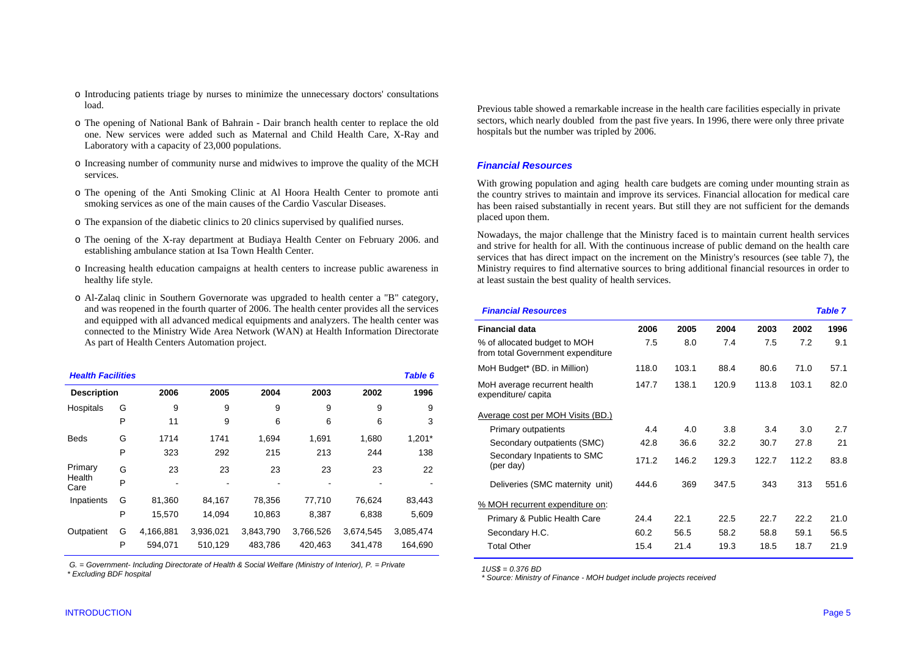- o Introducing patients triage by nurses to minimize the unnecessary doctors' consultations load.
- o The opening of National Bank of Bahrain Dair branch health center to replace the old one. New services were added such as Maternal and Child Health Care, X-Ray and Laboratory with a capacity of 23,000 populations.
- o Increasing number of community nurse and midwives to improve the quality of the MCH services.
- o The opening of the Anti Smoking Clinic at Al Hoora Health Center to promote anti smoking services as one of the main causes of the Cardio Vascular Diseases.
- o The expansion of the diabetic clinics to 20 clinics supervised by qualified nurses.
- o The oening of the X-ray department at Budiaya Health Center on February 2006. and establishing ambulance station at Isa Town Health Center.
- o Increasing health education campaigns at health centers to increase public awareness in healthy life style.
- o Al-Zalaq clinic in Southern Governorate was upgraded to health center a "B" category, and was reopened in the fourth quarter of 2006. The health center provides all the services and equipped with all advanced medical equipments and analyzers. The health center was connected to the Ministry Wide Area Network (WAN) at Health Information Directorate As part of Health Centers Automation project.

| <b>Health Facilities</b> |   |           |           |           |           |           | Table 6   |
|--------------------------|---|-----------|-----------|-----------|-----------|-----------|-----------|
| <b>Description</b>       |   | 2006      | 2005      | 2004      | 2003      | 2002      | 1996      |
| Hospitals                | G | 9         | 9         | 9         | 9         | 9         | 9         |
|                          | P | 11        | 9         | 6         | 6         | 6         | 3         |
| <b>Beds</b>              | G | 1714      | 1741      | 1.694     | 1,691     | 1,680     | $1,201*$  |
|                          | P | 323       | 292       | 215       | 213       | 244       | 138       |
| Primary                  | G | 23        | 23        | 23        | 23        | 23        | 22        |
| Health<br>Care           | P |           |           |           |           |           |           |
| Inpatients               | G | 81,360    | 84,167    | 78,356    | 77,710    | 76,624    | 83,443    |
|                          | P | 15,570    | 14,094    | 10,863    | 8,387     | 6,838     | 5,609     |
| Outpatient               | G | 4,166,881 | 3,936,021 | 3,843,790 | 3,766,526 | 3,674,545 | 3,085,474 |
|                          | P | 594.071   | 510,129   | 483,786   | 420,463   | 341.478   | 164.690   |

 *G. = Government- Including Directorate of Health & Social Welfare (Ministry of Interior), P. = Private \* Excluding BDF hospital* 

Previous table showed a remarkable increase in the health care facilities especially in private sectors, which nearly doubled from the past five years. In 1996, there were only three private hospitals but the number was tripled by 2006.

#### *Financial Resources*

With growing population and aging health care budgets are coming under mounting strain as the country strives to maintain and improve its services. Financial allocation for medical care has been raised substantially in recent years. But still they are not sufficient for the demands placed upon them.

Nowadays, the major challenge that the Ministry faced is to maintain current health services and strive for health for all. With the continuous increase of public demand on the health care services that has direct impact on the increment on the Ministry's resources (see table 7), the Ministry requires to find alternative sources to bring additional financial resources in order to at least sustain the best quality of health services.

| <b>Financial Resources</b>                                        |       |       |       |       |       | <b>Table 7</b> |  |
|-------------------------------------------------------------------|-------|-------|-------|-------|-------|----------------|--|
| Financial data                                                    | 2006  | 2005  | 2004  | 2003  | 2002  | 1996           |  |
| % of allocated budget to MOH<br>from total Government expenditure | 7.5   | 8.0   | 7.4   | 7.5   | 7.2   | 9.1            |  |
| MoH Budget* (BD. in Million)                                      | 118.0 | 103.1 | 88.4  | 80.6  | 71.0  | 57.1           |  |
| MoH average recurrent health<br>expenditure/ capita               | 147.7 | 138.1 | 120.9 | 113.8 | 103.1 | 82.0           |  |
| <u>Average cost per MOH Visits (BD.)</u>                          |       |       |       |       |       |                |  |
| Primary outpatients                                               | 4.4   | 4.0   | 3.8   | 3.4   | 3.0   | 2.7            |  |
| Secondary outpatients (SMC)                                       | 42.8  | 36.6  | 32.2  | 30.7  | 27.8  | 21             |  |
| Secondary Inpatients to SMC<br>(per day)                          | 171.2 | 146.2 | 129.3 | 122.7 | 112.2 | 83.8           |  |
| Deliveries (SMC maternity unit)                                   | 444.6 | 369   | 347.5 | 343   | 313   | 551.6          |  |
| % MOH recurrent expenditure on:                                   |       |       |       |       |       |                |  |
| Primary & Public Health Care                                      | 24.4  | 22.1  | 22.5  | 22.7  | 22.2  | 21.0           |  |
| Secondary H.C.                                                    | 60.2  | 56.5  | 58.2  | 58.8  | 59.1  | 56.5           |  |
| <b>Total Other</b>                                                | 15.4  | 21.4  | 19.3  | 18.5  | 18.7  | 21.9           |  |
|                                                                   |       |       |       |       |       |                |  |

 *1US\$ = 0.376 BD* 

 *\* Source: Ministry of Finance - MOH budget include projects received*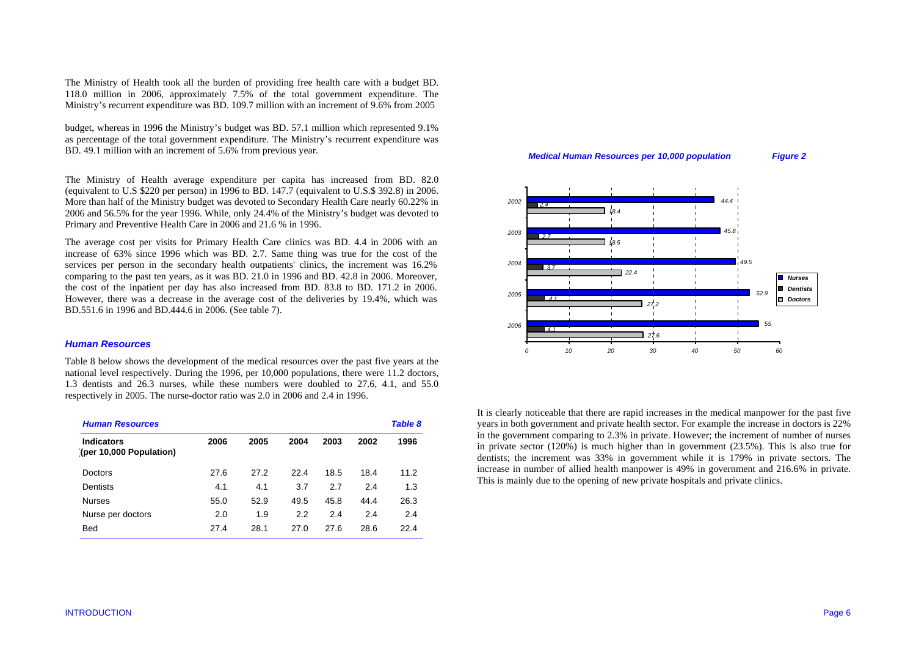The Ministry of Health took all the burden of providing free health care with a budget BD. 118.0 million in 2006, approximately 7.5% of the total government expenditure. The Ministry's recurrent expenditure was BD. 109.7 million with an increment of 9.6% from 2005

budget, whereas in 1996 the Ministry's budget was BD. 57.1 million which represented 9.1% as percentage of the total government expenditure. The Ministry's recurrent expenditure was BD. 49.1 million with an increment of 5.6% from previous year.

The Ministry of Health average expenditure per capita has increased from BD. 82.0 (equivalent to U.S \$220 per person) in 1996 to BD. 147.7 (equivalent to U.S.\$ 392.8) in 2006. More than half of the Ministry budget was devoted to Secondary Health Care nearly 60.22% in 2006 and 56.5% for the year 1996. While, only 24.4% of the Ministry's budget was devoted to Primary and Preventive Health Care in 2006 and 21.6 % in 1996.

The average cost per visits for Primary Health Care clinics was BD. 4.4 in 2006 with an increase of 63% since 1996 which was BD. 2.7. Same thing was true for the cost of the services per person in the secondary health outpatients' clinics, the increment was 16.2% comparing to the past ten years, as it was BD. 21.0 in 1996 and BD. 42.8 in 2006. Moreover, the cost of the inpatient per day has also increased from BD. 83.8 to BD. 171.2 in 2006. However, there was a decrease in the average cost of the deliveries by 19.4%, which was BD.551.6 in 1996 and BD.444.6 in 2006. (See table 7).

#### *Human Resources*

Table 8 below shows the development of the medical resources over the past five years at the national level respectively. During the 1996, per 10,000 populations, there were 11.2 doctors, 1.3 dentists and 26.3 nurses, while these numbers were doubled to 27.6, 4.1, and 55.0 respectively in 2005. The nurse-doctor ratio was 2.0 in 2006 and 2.4 in 1996.

| <b>Human Resources</b>                       |      |      |      |      |      |      |
|----------------------------------------------|------|------|------|------|------|------|
| <b>Indicators</b><br>(per 10,000 Population) | 2006 | 2005 | 2004 | 2003 | 2002 | 1996 |
| Doctors                                      | 27.6 | 27.2 | 22.4 | 18.5 | 18.4 | 11.2 |
| Dentists                                     | 4.1  | 4.1  | 3.7  | 2.7  | 2.4  | 1.3  |
| <b>Nurses</b>                                | 55.0 | 52.9 | 49.5 | 45.8 | 44.4 | 26.3 |
| Nurse per doctors                            | 2.0  | 1.9  | 2.2  | 2.4  | 2.4  | 2.4  |
| <b>Bed</b>                                   | 27.4 | 28.1 | 27.0 | 27.6 | 28.6 | 22.4 |

#### *Medical Human Resources per 10,000 population Figure 2*



It is clearly noticeable that there are rapid increases in the medical manpower for the past five years in both government and private health sector. For example the increase in doctors is 22% in the government comparing to 2.3% in private. However; the increment of number of nurses in private sector  $(120\%)$  is much higher than in government  $(23.5\%)$ . This is also true for dentists; the increment was 33% in government while it is 179% in private sectors. The increase in number of allied health manpower is 49% in government and 216.6% in private. This is mainly due to the opening of new private hospitals and private clinics.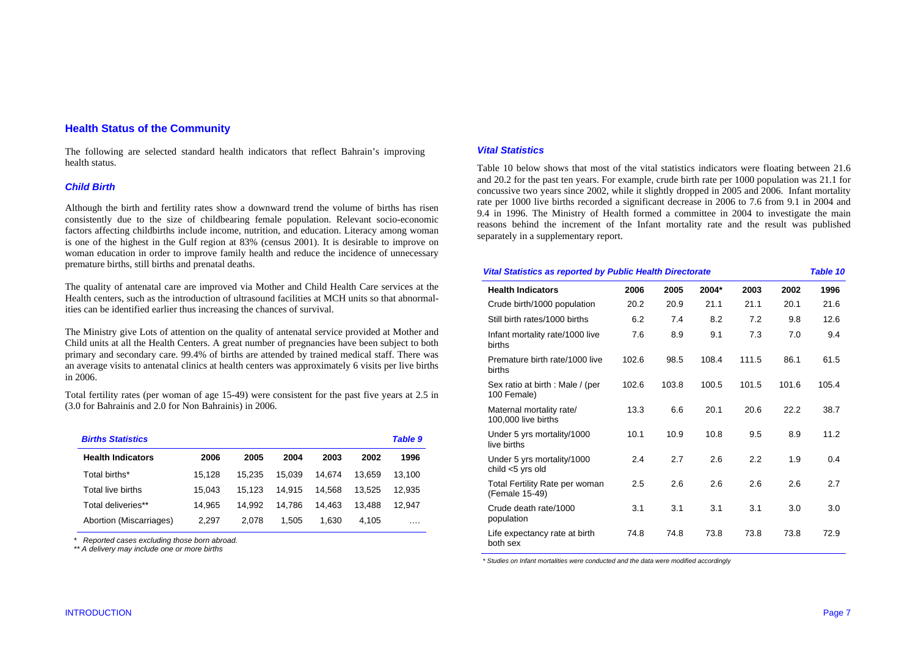# **Health Status of the Community**

The following are selected standard health indicators that reflect Bahrain's improving health status.

#### *Child Birth*

Although the birth and fertility rates show a downward trend the volume of births has risen consistently due to the size of childbearing female population. Relevant socio-economic factors affecting childbirths include income, nutrition, and education. Literacy among woman is one of the highest in the Gulf region at 83% (census 2001). It is desirable to improve on woman education in order to improve family health and reduce the incidence of unnecessary premature births, still births and prenatal deaths.

The quality of antenatal care are improved via Mother and Child Health Care services at the Health centers, such as the introduction of ultrasound facilities at MCH units so that abnormalities can be identified earlier thus increasing the chances of survival.

The Ministry give Lots of attention on the quality of antenatal service provided at Mother and Child units at all the Health Centers. A great number of pregnancies have been subject to both primary and secondary care. 99.4% of births are attended by trained medical staff. There was an average visits to antenatal clinics at health centers was approximately 6 visits per live births in 2006.

Total fertility rates (per woman of age 15-49) were consistent for the past five years at 2.5 in (3.0 for Bahrainis and 2.0 for Non Bahrainis) in 2006.

| <b>Births Statistics</b> |        |        |        |        |        |        |  |  |
|--------------------------|--------|--------|--------|--------|--------|--------|--|--|
| <b>Health Indicators</b> | 2006   | 2005   | 2004   | 2003   | 2002   | 1996   |  |  |
| Total births*            | 15.128 | 15.235 | 15.039 | 14.674 | 13.659 | 13,100 |  |  |
| Total live births        | 15.043 | 15.123 | 14.915 | 14.568 | 13.525 | 12.935 |  |  |
| Total deliveries**       | 14.965 | 14.992 | 14.786 | 14.463 | 13.488 | 12.947 |  |  |
| Abortion (Miscarriages)  | 2.297  | 2.078  | 1.505  | 1.630  | 4.105  |        |  |  |

 *\* Reported cases excluding those born abroad.* 

 *\*\* A delivery may include one or more births* 

#### *Vital Statistics*

Table 10 below shows that most of the vital statistics indicators were floating between 21.6 and 20.2 for the past ten years. For example, crude birth rate per 1000 population was 21.1 for concussive two years since 2002, while it slightly dropped in 2005 and 2006. Infant mortality rate per 1000 live births recorded a significant decrease in 2006 to 7.6 from 9.1 in 2004 and 9.4 in 1996. The Ministry of Health formed a committee in 2004 to investigate the main reasons behind the increment of the Infant mortality rate and the result was published separately in a supplementary report.

| <b>Vital Statistics as reported by Public Health Directorate</b> |       |       |       |       |       |       |  |  |
|------------------------------------------------------------------|-------|-------|-------|-------|-------|-------|--|--|
| <b>Health Indicators</b>                                         | 2006  | 2005  | 2004* | 2003  | 2002  | 1996  |  |  |
| Crude birth/1000 population                                      | 20.2  | 20.9  | 21.1  | 21.1  | 20.1  | 21.6  |  |  |
| Still birth rates/1000 births                                    | 6.2   | 7.4   | 8.2   | 7.2   | 9.8   | 12.6  |  |  |
| Infant mortality rate/1000 live<br>births                        | 7.6   | 8.9   | 9.1   | 7.3   | 7.0   | 9.4   |  |  |
| Premature birth rate/1000 live<br>births                         | 102.6 | 98.5  | 108.4 | 111.5 | 86.1  | 61.5  |  |  |
| Sex ratio at birth : Male / (per<br>100 Female)                  | 102.6 | 103.8 | 100.5 | 101.5 | 101.6 | 105.4 |  |  |
| Maternal mortality rate/<br>100,000 live births                  | 13.3  | 6.6   | 20.1  | 20.6  | 22.2  | 38.7  |  |  |
| Under 5 yrs mortality/1000<br>live births                        | 10.1  | 10.9  | 10.8  | 9.5   | 8.9   | 11.2  |  |  |
| Under 5 yrs mortality/1000<br>child <5 yrs old                   | 2.4   | 2.7   | 2.6   | 2.2   | 1.9   | 0.4   |  |  |
| Total Fertility Rate per woman<br>(Female 15-49)                 | 2.5   | 2.6   | 2.6   | 2.6   | 2.6   | 2.7   |  |  |
| Crude death rate/1000<br>population                              | 3.1   | 3.1   | 3.1   | 3.1   | 3.0   | 3.0   |  |  |
| Life expectancy rate at birth<br>both sex                        | 74.8  | 74.8  | 73.8  | 73.8  | 73.8  | 72.9  |  |  |

 *\* Studies on Infant mortalities were conducted and the data were modified accordingly*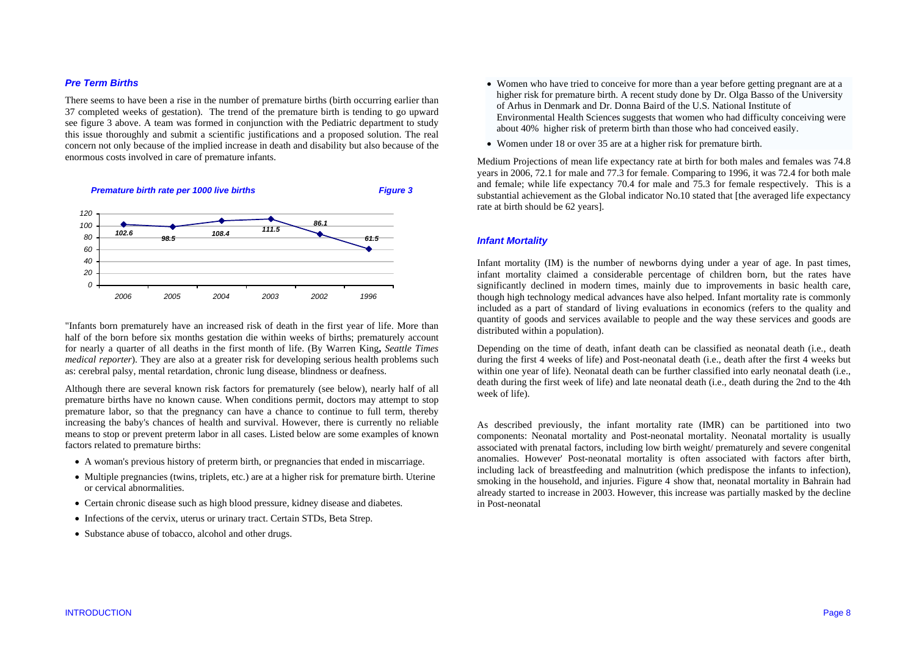#### *Pre Term Births*

There seems to have been a rise in the number of premature births (birth occurring earlier than 37 completed weeks of gestation). The trend of the premature birth is tending to go upward see figure 3 above. A team was formed in conjunction with the Pediatric department to study this issue thoroughly and submit a scientific justifications and a proposed solution. The real concern not only because of the implied increase in death and disability but also because of the enormous costs involved in care of premature infants.



"Infants born prematurely have an increased risk of death in the first year of life. More than half of the born before six months gestation die within weeks of births; prematurely account for nearly a quarter of all deaths in the first month of life. (By Warren King**,** *Seattle Times medical reporter*). They are also at a greater risk for developing serious health problems such as: cerebral palsy, mental retardation, chronic lung disease, blindness or deafness.

Although there are several known risk factors for prematurely (see below), nearly half of all premature births have no known cause. When conditions permit, doctors may attempt to stop premature labor, so that the pregnancy can have a chance to continue to full term, thereby increasing the baby's chances of health and survival. However, there is currently no reliable means to stop or prevent preterm labor in all cases. Listed below are some examples of known factors related to premature births:

- A woman's previous history of preterm birth, or pregnancies that ended in miscarriage.
- Multiple pregnancies (twins, triplets, etc.) are at a higher risk for premature birth. Uterine or cervical abnormalities.
- Certain chronic disease such as high blood pressure, kidney disease and diabetes.
- Infections of the cervix, uterus or urinary tract. Certain STDs, Beta Strep.
- Substance abuse of tobacco, alcohol and other drugs.
- Women who have tried to conceive for more than a year before getting pregnant are at a higher risk for premature birth. A recent study done by Dr. Olga Basso of the University of Arhus in Denmark and Dr. Donna Baird of the U.S. National Institute of Environmental Health Sciences suggests that women who had difficulty conceiving were about 40% higher risk of preterm birth than those who had conceived easily.
- Women under 18 or over 35 are at a higher risk for premature birth.

Medium Projections of mean life expectancy rate at birth for both males and females was 74.8 years in 2006, 72.1 for male and 77.3 for female. Comparing to 1996, it was 72.4 for both male and female; while life expectancy 70.4 for male and 75.3 for female respectively. This is a substantial achievement as the Global indicator No.10 stated that [the averaged life expectancy rate at birth should be 62 years].

#### *Infant Mortality*

Infant mortality (IM) is the number of newborns dying under a year of age. In past times, infant mortality claimed a considerable percentage of children born, but the rates have significantly declined in modern times, mainly due to improvements in basic health care, though high technology medical advances have also helped. Infant mortality rate is commonly included as a part of standard of living evaluations in economics (refers to the quality and quantity of goods and services available to people and the way these services and goods are distributed within a population).

Depending on the time of death, infant death can be classified as neonatal death (i.e., death during the first 4 weeks of life) and Post-neonatal death (i.e., death after the first 4 weeks but within one year of life). Neonatal death can be further classified into early neonatal death (i.e., death during the first week of life) and late neonatal death (i.e., death during the 2nd to the 4th week of life).

As described previously, the infant mortality rate (IMR) can be partitioned into two components: Neonatal mortality and Post-neonatal mortality. Neonatal mortality is usually associated with prenatal factors, including low birth weight/ prematurely and severe congenital anomalies. However' Post-neonatal mortality is often associated with factors after birth, including lack of breastfeeding and malnutrition (which predispose the infants to infection), smoking in the household, and injuries. Figure 4 show that, neonatal mortality in Bahrain had already started to increase in 2003. However, this increase was partially masked by the decline in Post-neonatal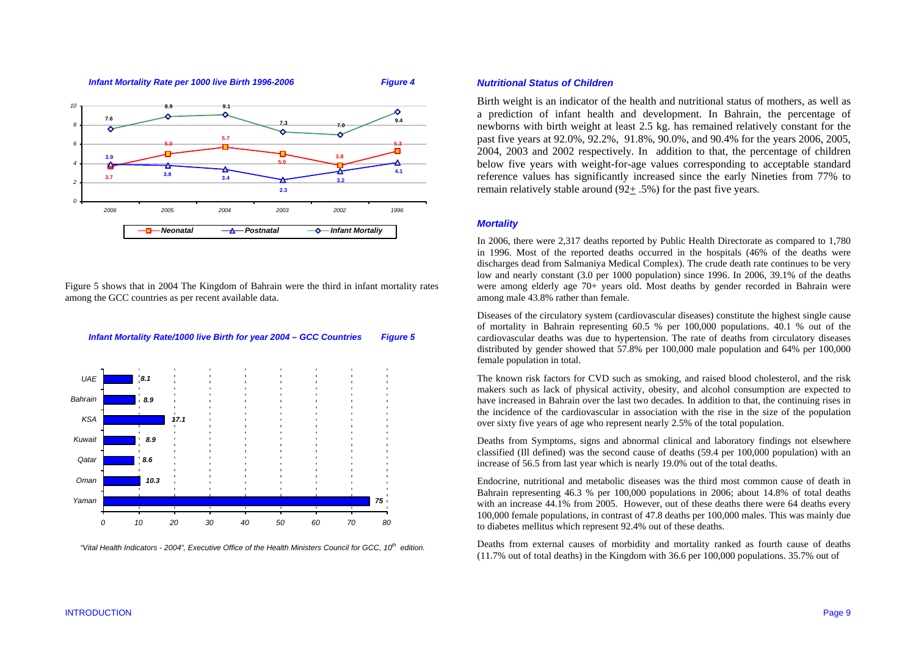

Figure 5 shows that in 2004 The Kingdom of Bahrain were the third in infant mortality rates among the GCC countries as per recent available data.



 *"Vital Health Indicators - 2004", Executive Office of the Health Ministers Council for GCC, 10th edition.* 

# *Nutritional Status of Children*

Birth weight is an indicator of the health and nutritional status of mothers, as well as a prediction of infant health and development. In Bahrain, the percentage of newborns with birth weight at least 2.5 kg. has remained relatively constant for the past five years at 92.0%, 92.2%, 91.8%, 90.0%, and 90.4% for the years 2006, 2005, 2004, 2003 and 2002 respectively. In addition to that, the percentage of children below five years with weight-for-age values corresponding to acceptable standard reference values has significantly increased since the early Nineties from 77% to remain relatively stable around (92+ .5%) for the past five years.

# *Mortality*

In 2006, there were 2,317 deaths reported by Public Health Directorate as compared to 1,780 in 1996. Most of the reported deaths occurred in the hospitals (46% of the deaths were discharges dead from Salmaniya Medical Complex). The crude death rate continues to be very low and nearly constant (3.0 per 1000 population) since 1996. In 2006, 39.1% of the deaths were among elderly age 70+ years old. Most deaths by gender recorded in Bahrain were among male 43.8% rather than female.

Diseases of the circulatory system (cardiovascular diseases) constitute the highest single cause of mortality in Bahrain representing 60.5 % per 100,000 populations. 40.1 % out of the cardiovascular deaths was due to hypertension. The rate of deaths from circulatory diseases distributed by gender showed that 57.8% per 100,000 male population and 64% per 100,000 female population in total.

The known risk factors for CVD such as smoking, and raised blood cholesterol, and the risk makers such as lack of physical activity, obesity, and alcohol consumption are expected to have increased in Bahrain over the last two decades. In addition to that, the continuing rises in the incidence of the cardiovascular in association with the rise in the size of the population over sixty five years of age who represent nearly 2.5% of the total population.

Deaths from Symptoms, signs and abnormal clinical and laboratory findings not elsewhere classified (Ill defined) was the second cause of deaths (59.4 per 100,000 population) with an increase of 56.5 from last year which is nearly 19.0% out of the total deaths.

Endocrine, nutritional and metabolic diseases was the third most common cause of death in Bahrain representing 46.3 % per 100,000 populations in 2006; about 14.8% of total deaths with an increase 44.1% from 2005. However, out of these deaths there were 64 deaths every 100,000 female populations, in contrast of 47.8 deaths per 100,000 males. This was mainly due to diabetes mellitus which represent 92.4% out of these deaths.

Deaths from external causes of morbidity and mortality ranked as fourth cause of deaths (11.7% out of total deaths) in the Kingdom with 36.6 per 100,000 populations. 35.7% out of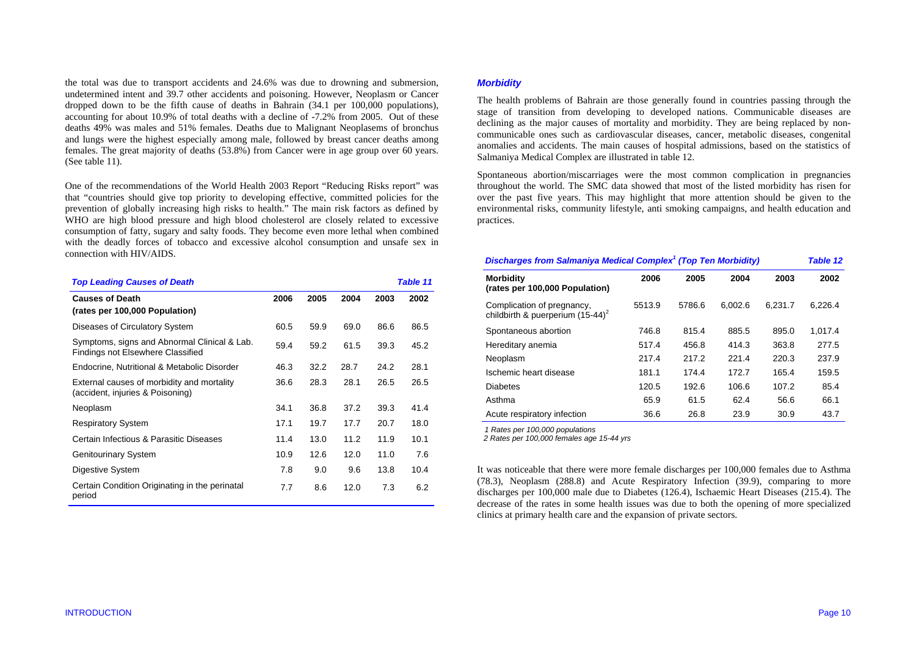the total was due to transport accidents and 24.6% was due to drowning and submersion, undetermined intent and 39.7 other accidents and poisoning. However, Neoplasm or Cancer dropped down to be the fifth cause of deaths in Bahrain (34.1 per 100,000 populations), accounting for about 10.9% of total deaths with a decline of -7.2% from 2005. Out of these deaths 49% was males and 51% females. Deaths due to Malignant Neoplasems of bronchus and lungs were the highest especially among male, followed by breast cancer deaths among females. The great majority of deaths (53.8%) from Cancer were in age group over 60 years. (See table 11).

One of the recommendations of the World Health 2003 Report "Reducing Risks report" was that "countries should give top priority to developing effective, committed policies for the prevention of globally increasing high risks to health." The main risk factors as defined by WHO are high blood pressure and high blood cholesterol are closely related to excessive consumption of fatty, sugary and salty foods. They become even more lethal when combined with the deadly forces of tobacco and excessive alcohol consumption and unsafe sex in connection with HIV/AIDS.

| <b>Top Leading Causes of Death</b>                                                       |      |      |      |      | <b>Table 11</b> |
|------------------------------------------------------------------------------------------|------|------|------|------|-----------------|
| <b>Causes of Death</b><br>(rates per 100,000 Population)                                 | 2006 | 2005 | 2004 | 2003 | 2002            |
| Diseases of Circulatory System                                                           | 60.5 | 59.9 | 69.0 | 86.6 | 86.5            |
| Symptoms, signs and Abnormal Clinical & Lab.<br><b>Findings not Elsewhere Classified</b> | 59.4 | 59.2 | 61.5 | 39.3 | 45.2            |
| Endocrine, Nutritional & Metabolic Disorder                                              | 46.3 | 32.2 | 28.7 | 24.2 | 28.1            |
| External causes of morbidity and mortality<br>(accident, injuries & Poisoning)           | 36.6 | 28.3 | 28.1 | 26.5 | 26.5            |
| Neoplasm                                                                                 | 34.1 | 36.8 | 37.2 | 39.3 | 41.4            |
| <b>Respiratory System</b>                                                                | 17.1 | 19.7 | 17.7 | 20.7 | 18.0            |
| Certain Infectious & Parasitic Diseases                                                  | 11.4 | 13.0 | 11.2 | 11.9 | 10.1            |
| <b>Genitourinary System</b>                                                              | 10.9 | 12.6 | 12.0 | 11.0 | 7.6             |
| Digestive System                                                                         | 7.8  | 9.0  | 9.6  | 13.8 | 10.4            |
| Certain Condition Originating in the perinatal<br>period                                 | 7.7  | 8.6  | 12.0 | 7.3  | 6.2             |

#### *Morbidity*

The health problems of Bahrain are those generally found in countries passing through the stage of transition from developing to developed nations. Communicable diseases are declining as the major causes of mortality and morbidity. They are being replaced by noncommunicable ones such as cardiovascular diseases, cancer, metabolic diseases, congenital anomalies and accidents. The main causes of hospital admissions, based on the statistics of Salmaniya Medical Complex are illustrated in table 12.

Spontaneous abortion/miscarriages were the most common complication in pregnancies throughout the world. The SMC data showed that most of the listed morbidity has risen for over the past five years. This may highlight that more attention should be given to the environmental risks, community lifestyle, anti smoking campaigns, and health education and practices.

| <b>Discharges from Salmaniya Medical Complex<sup>1</sup> (Top Ten Morbidity)</b> |        |        |         |         |         |
|----------------------------------------------------------------------------------|--------|--------|---------|---------|---------|
| <b>Morbidity</b><br>(rates per 100,000 Population)                               | 2006   | 2005   | 2004    | 2003    | 2002    |
| Complication of pregnancy,<br>childbirth & puerperium $(15-44)^2$                | 5513.9 | 5786.6 | 6.002.6 | 6.231.7 | 6.226.4 |
| Spontaneous abortion                                                             | 746.8  | 815.4  | 885.5   | 895.0   | 1,017.4 |
| Hereditary anemia                                                                | 517.4  | 456.8  | 414.3   | 363.8   | 277.5   |
| Neoplasm                                                                         | 217.4  | 217.2  | 221.4   | 220.3   | 237.9   |
| Ischemic heart disease                                                           | 181.1  | 174.4  | 172.7   | 165.4   | 159.5   |
| <b>Diabetes</b>                                                                  | 120.5  | 192.6  | 106.6   | 107.2   | 85.4    |
| Asthma                                                                           | 65.9   | 61.5   | 62.4    | 56.6    | 66.1    |
| Acute respiratory infection                                                      | 36.6   | 26.8   | 23.9    | 30.9    | 43.7    |

*1 Rates per 100,000 populations* 

 *2 Rates per 100,000 females age 15-44 yrs*

It was noticeable that there were more female discharges per 100,000 females due to Asthma (78.3), Neoplasm (288.8) and Acute Respiratory Infection (39.9), comparing to more discharges per 100,000 male due to Diabetes (126.4), Ischaemic Heart Diseases (215.4). The decrease of the rates in some health issues was due to both the opening of more specialized clinics at primary health care and the expansion of private sectors.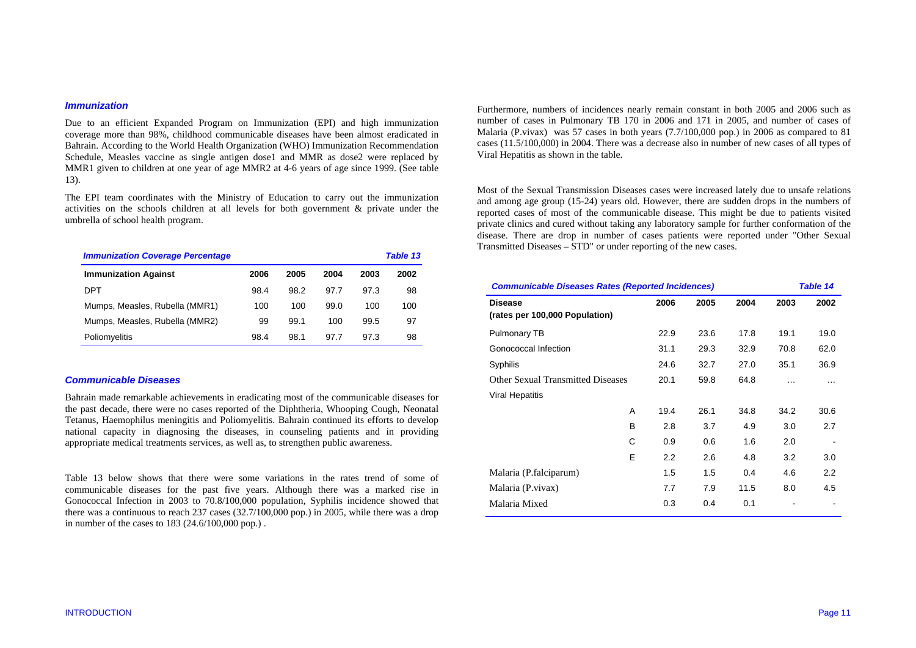#### *Immunization*

Due to an efficient Expanded Program on Immunization (EPI) and high immunization coverage more than 98%, childhood communicable diseases have been almost eradicated in Bahrain. According to the World Health Organization (WHO) Immunization Recommendation Schedule, Measles vaccine as single antigen dose1 and MMR as dose2 were replaced by MMR1 given to children at one year of age MMR2 at 4-6 years of age since 1999. (See table 13).

The EPI team coordinates with the Ministry of Education to carry out the immunization activities on the schools children at all levels for both government & private under the umbrella of school health program.

| <b>Immunization Coverage Percentage</b> |      |      |      |      | Table 13 |
|-----------------------------------------|------|------|------|------|----------|
| <b>Immunization Against</b>             | 2006 | 2005 | 2004 | 2003 | 2002     |
| DPT                                     | 98.4 | 98.2 | 97.7 | 97.3 | 98       |
| Mumps, Measles, Rubella (MMR1)          | 100  | 100  | 99.0 | 100  | 100      |
| Mumps, Measles, Rubella (MMR2)          | 99   | 99.1 | 100  | 99.5 | 97       |
| Poliomyelitis                           | 98.4 | 98.1 | 97.7 | 97.3 | 98       |

#### *Communicable Diseases*

Bahrain made remarkable achievements in eradicating most of the communicable diseases for the past decade, there were no cases reported of the Diphtheria, Whooping Cough, Neonatal Tetanus, Haemophilus meningitis and Poliomyelitis. Bahrain continued its efforts to develop national capacity in diagnosing the diseases, in counseling patients and in providing appropriate medical treatments services, as well as, to strengthen public awareness.

Table 13 below shows that there were some variations in the rates trend of some of communicable diseases for the past five years. Although there was a marked rise in Gonococcal Infection in 2003 to 70.8/100,000 population, Syphilis incidence showed that there was a continuous to reach 237 cases (32.7/100,000 pop.) in 2005, while there was a drop in number of the cases to 183 (24.6/100,000 pop.) .

Furthermore, numbers of incidences nearly remain constant in both 2005 and 2006 such as number of cases in Pulmonary TB 170 in 2006 and 171 in 2005, and number of cases of Malaria (P.vivax) was 57 cases in both years (7.7/100,000 pop.) in 2006 as compared to 81 cases (11.5/100,000) in 2004. There was a decrease also in number of new cases of all types of Viral Hepatitis as shown in the table.

Most of the Sexual Transmission Diseases cases were increased lately due to unsafe relations and among age group (15-24) years old. However, there are sudden drops in the numbers of reported cases of most of the communicable disease. This might be due to patients visited private clinics and cured without taking any laboratory sample for further conformation of the disease. There are drop in number of cases patients were reported under "Other Sexual Transmitted Diseases – STD" or under reporting of the new cases.

| <b>Communicable Diseases Rates (Reported Incidences)</b> |      |      |      |          | Table 14 |  |
|----------------------------------------------------------|------|------|------|----------|----------|--|
| <b>Disease</b><br>(rates per 100,000 Population)         | 2006 | 2005 | 2004 | 2003     | 2002     |  |
| Pulmonary TB                                             | 22.9 | 23.6 | 17.8 | 19.1     | 19.0     |  |
| Gonococcal Infection                                     | 31.1 | 29.3 | 32.9 | 70.8     | 62.0     |  |
| Syphilis                                                 | 24.6 | 32.7 | 27.0 | 35.1     | 36.9     |  |
| Other Sexual Transmitted Diseases                        | 20.1 | 59.8 | 64.8 | $\cdots$ | .        |  |
| <b>Viral Hepatitis</b>                                   |      |      |      |          |          |  |
| A                                                        | 19.4 | 26.1 | 34.8 | 34.2     | 30.6     |  |
| <sub>B</sub>                                             | 2.8  | 3.7  | 4.9  | 3.0      | 2.7      |  |
| C                                                        | 0.9  | 0.6  | 1.6  | 2.0      |          |  |
| E                                                        | 2.2  | 2.6  | 4.8  | 3.2      | 3.0      |  |
| Malaria (P.falciparum)                                   | 1.5  | 1.5  | 0.4  | 4.6      | 2.2      |  |
| Malaria (P.vivax)                                        | 7.7  | 7.9  | 11.5 | 8.0      | 4.5      |  |
| Malaria Mixed                                            | 0.3  | 0.4  | 0.1  |          |          |  |
|                                                          |      |      |      |          |          |  |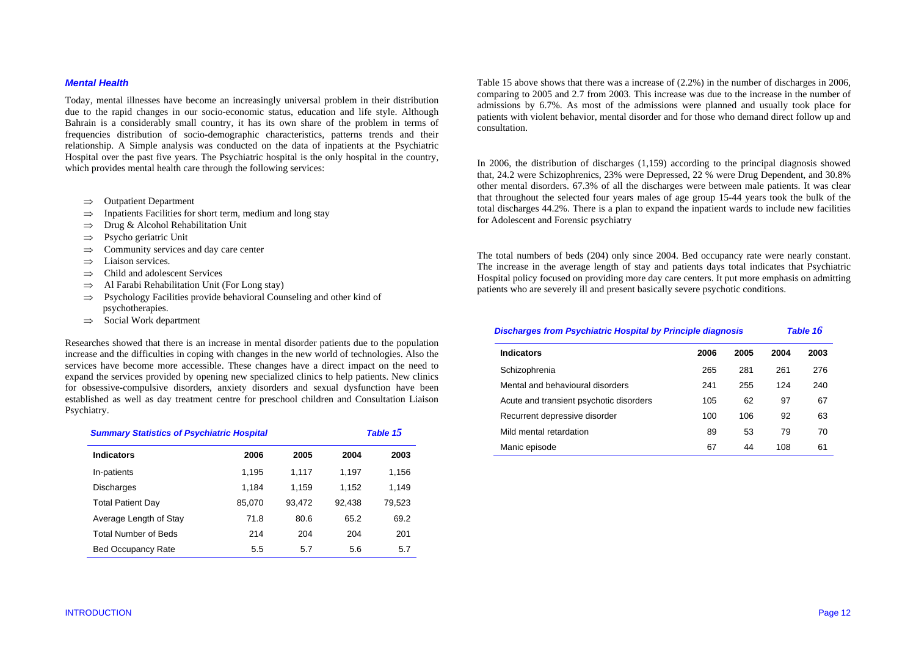#### *Mental Health*

Today, mental illnesses have become an increasingly universal problem in their distribution due to the rapid changes in our socio-economic status, education and life style. Although Bahrain is a considerably small country, it has its own share of the problem in terms of frequencies distribution of socio-demographic characteristics, patterns trends and their relationship. A Simple analysis was conducted on the data of inpatients at the Psychiatric Hospital over the past five years. The Psychiatric hospital is the only hospital in the country, which provides mental health care through the following services:

- ⇒Outpatient Department
- ⇒Inpatients Facilities for short term, medium and long stay
- ⇒Drug & Alcohol Rehabilitation Unit
- ⇒Psycho geriatric Unit
- ⇒Community services and day care center
- ⇒Liaison services.
- ⇒Child and adolescent Services
- ⇒Al Farabi Rehabilitation Unit (For Long stay)
- ⇒ Psychology Facilities provide behavioral Counseling and other kind of psychotherapies.
- ⇒Social Work department

Researches showed that there is an increase in mental disorder patients due to the population increase and the difficulties in coping with changes in the new world of technologies. Also the services have become more accessible. These changes have a direct impact on the need to expand the services provided by opening new specialized clinics to help patients. New clinics for obsessive-compulsive disorders, anxiety disorders and sexual dysfunction have been established as well as day treatment centre for preschool children and Consultation Liaison Psychiatry.

| <b>Summary Statistics of Psychiatric Hospital</b> |        |        | Table 1 $5$ |        |  |
|---------------------------------------------------|--------|--------|-------------|--------|--|
| <b>Indicators</b>                                 | 2006   | 2005   | 2004        | 2003   |  |
| In-patients                                       | 1.195  | 1.117  | 1,197       | 1,156  |  |
| <b>Discharges</b>                                 | 1.184  | 1,159  | 1,152       | 1,149  |  |
| <b>Total Patient Day</b>                          | 85,070 | 93,472 | 92,438      | 79,523 |  |
| Average Length of Stay                            | 71.8   | 80.6   | 65.2        | 69.2   |  |
| <b>Total Number of Beds</b>                       | 214    | 204    | 204         | 201    |  |
| <b>Bed Occupancy Rate</b>                         | 5.5    | 5.7    | 5.6         | 5.7    |  |

Table 15 above shows that there was a increase of (2.2%) in the number of discharges in 2006, comparing to 2005 and 2.7 from 2003. This increase was due to the increase in the number of admissions by 6.7%. As most of the admissions were planned and usually took place for patients with violent behavior, mental disorder and for those who demand direct follow up and consultation.

In 2006, the distribution of discharges (1,159) according to the principal diagnosis showed that, 24.2 were Schizophrenics, 23% were Depressed, 22 % were Drug Dependent, and 30.8% other mental disorders. 67.3% of all the discharges were between male patients. It was clear that throughout the selected four years males of age group 15-44 years took the bulk of the total discharges 44.2%. There is a plan to expand the inpatient wards to include new facilities for Adolescent and Forensic psychiatry

The total numbers of beds (204) only since 2004. Bed occupancy rate were nearly constant. The increase in the average length of stay and patients days total indicates that Psychiatric Hospital policy focused on providing more day care centers. It put more emphasis on admitting patients who are severely ill and present basically severe psychotic conditions.

# *Discharges from Psychiatric Hospital by Principle diagnosis Table 16* **Indicators 2006 2005 2004 2003**

| iliuluatui 5                            | zuuu | zvvj | <i>Luu-</i> | zuuj |
|-----------------------------------------|------|------|-------------|------|
| Schizophrenia                           | 265  | 281  | 261         | 276  |
| Mental and behavioural disorders        | 241  | 255  | 124         | 240  |
| Acute and transient psychotic disorders | 105  | 62   | 97          | 67   |
| Recurrent depressive disorder           | 100  | 106  | 92          | 63   |
| Mild mental retardation                 | 89   | 53   | 79          | 70   |
| Manic episode                           | 67   | 44   | 108         | 61   |